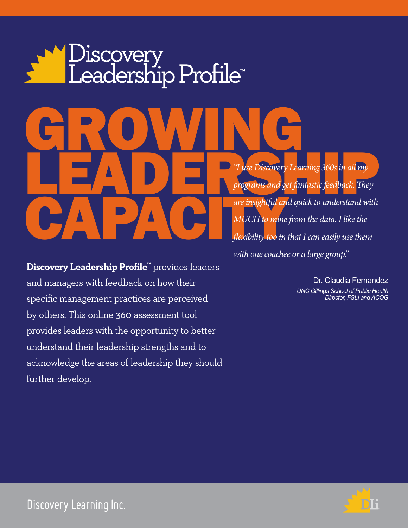# Discovery<br>Leadership Profile®

GROWING. Tuse Discovery Learning 360s in all my<br>programs and get fantastic feedback. They<br>are insightful and quick to understand with are insightful an MUCH to mine

**Discovery Leadership Profile™** provides leaders and managers with feedback on how their specific management practices are perceived by others. This online 360 assessment tool provides leaders with the opportunity to better understand their leadership strengths and to acknowledge the areas of leadership they should further develop.

*"I use Discovery Learning 360s in all my programs and get fantastic feedback. They are insightful and quick to understand with MUCH to mine from the data. I like the flexibility too in that I can easily use them with one coachee or a large group."*

> Dr. Claudia Fernandez *UNC Gillings School of Public Health Director, FSLI and ACOG*



Discovery Learning Inc.